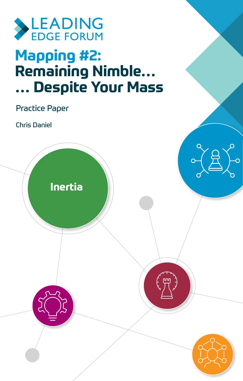

# **Mapping #2: Remaining Nimble… … Despite Your Mass**

Practice Paper

Chris Daniel

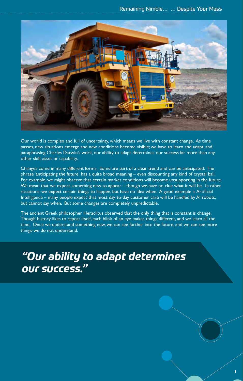Remaining Nimble… … Despite Your Mass



Our world is complex and full of uncertainty, which means we live with constant change. As time passes, new situations emerge and new conditions become visible; we have to learn and adapt, and, paraphrasing Charles Darwin's work, our ability to adapt determines our success far more than any other skill, asset or capability.

Changes come in many different forms. Some are part of a clear trend and can be anticipated. The phrase 'anticipating the future' has a quite broad meaning – even discounting any kind of crystal ball. For example, we might observe that certain market conditions will become unsupporting in the future. We mean that we expect something new to appear – though we have no clue what it will be. In other situations, we expect certain things to happen, but have no idea when. A good example is Artificial Intelligence – many people expect that most day-to-day customer care will be handled by AI robots, but cannot say when. But some changes are completely unpredictable.

The ancient Greek philosopher Heraclitus observed that the only thing that is constant is change. Though history likes to repeat itself, each blink of an eye makes things different, and we learn all the time. Once we understand something new, we can see further into the future, and we can see more things we do not understand.

*"Our ability to adapt determines our success."* 

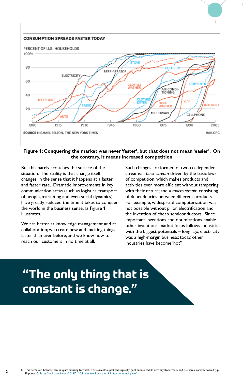

## **Figure 1: Conquering the market was never 'faster', but that does not mean 'easier'. On the contrary, it means increased competition**

But this barely scratches the surface of the situation. The reality is that change itself changes, in the sense that it happens at a faster and faster rate. Dramatic improvements in key communication areas (such as logistics, transport of people, marketing and even social dynamics) have greatly reduced the time it takes to conquer the world in the business sense, as Figure 1 illustrates.

We are better at knowledge management and at collaboration; we create new and exciting things faster than ever before; and we know how to reach our customers in no time at all.

 $\mathfrak{p}$ 

Such changes are formed of two co-dependent streams: a *basic stream* driven by the basic laws of competition, which makes products and activities ever more efficient without tampering with their nature; and a *macro stream* consisting of dependencies between different products. For example, widespread computerization was not possible without prior electrification and the invention of cheap semiconductors. Since important inventions and optimizations enable other inventions, market focus follows industries with the biggest potentials – long ago, electricity was a high-margin business; today, other industries have become 'hot'1 .

# **"The only thing that is constant is change."**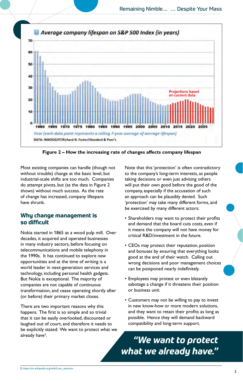

**Figure 2 – How the increasing rate of changes affects company lifespan**

Most existing companies can handle (though not without trouble) change at the basic level, but industrial-scale shifts are too much. Companies do attempt pivots, but (as the data in Figure 2 shows) without much success. As the rate of change has increased, company lifespans have shrunk.

## **Why change management is so difficult**

Nokia started in 1865 as a wood pulp mill. Over decades, it acquired and operated businesses in many industry sectors, before focusing on telecommunications and mobile telephony in the 1990s. It has continued to explore new opportunities and at the time of writing is a world leader in next-generation services and technology, including personal health gadgets. But Nokia is exceptional. The majority of companies are not capable of continuous transformation, and cease operating shortly after (or before) their primary market closes.

There are two important reasons why this happens. The first is so simple and so trivial that it can be easily overlooked, discounted or laughed out of court, and therefore it needs to be explicitly stated: We want to protect what we already have<sup>2</sup>.

Note that this 'protection' is often contradictory to the company's long-term interests, as people taking decisions or even just advising others will put their own good before the good of the company, especially if the accusation of such an approach can be plausibly denied. Such 'protection' may take many different forms, and be exercised by many different actors:

- Shareholders may want to protect their profits and demand that the board cuts costs, even if it means the company will not have money for critical R&D/investment in the future.
- CEOs may protect their reputation, position and bonuses by ensuring that everything looks good at the end of their watch. Calling out wrong decisions and poor management choices can be postponed nearly indefinitely.
- Employees may protest or even blatantly sabotage a change if it threatens their position or business unit.
- Customers may not be willing to pay to invest in new know-how or more modern solutions, and they want to retain their profits as long as possible. Hence they will demand backward compatibility and long-term support.

## *"We want to protect what we already have."*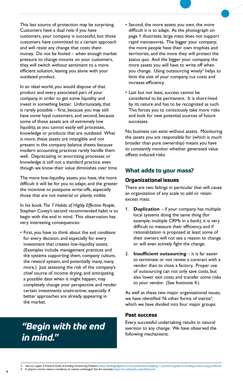This last source of protection may be surprising. Customers have a dual role: if you have customers, your company is successful, but those customers have committed to a certain approach and will resist any change that costs them money. Do not be fooled – when enough market pressure to change mounts on your customers, they will switch without sentiment to a more efficient solution, leaving you alone with your outdated product.

In an ideal world, you would dispose of that product and every associated part of your company, in order to get some liquidity and invest in something better. Unfortunately, that is rarely possible – first, because you may still have some loyal customers, and second, because some of those assets are of extremely low liquidity, as you cannot easily sell processes, knowledge or products that are outdated. What is more, these assets are intangible and not present in the company balance sheets because modern accounting practices rarely handle them well. Depreciating or amortizing processes or knowledge is still not a standard practice, even though we know their value diminishes over time.

The more low-liquidity assets you have, the more difficult it will be for you to adapt, and the greater the incentive to postpone write-offs, especially those that are not material or plainly visible.

In his book *The 7 Habits of Highly Effective People*, Stephen Covey's second recommended habit is to begin with the end in mind. This observation has very interesting consequences:

• First, you have to think about the e*xit conditions*  for every decision, and especially for every investment that creates low-liquidity assets. (Examples include management practices and the systems supporting them, company culture, the reward system, and potentially many, many more.) Just assessing the risk of the company's chief source of income drying, and anticipating a possible date when it might happen, may completely change your perspective and render certain investments unattractive, especially if better approaches are already appearing in the market.

## *"Begin with the end in mind."*

- Second, the more assets you own, the more difficult it is to adapt. As the photograph on page 1 illustrates, large mass does not support rapid manoeuvres. The bigger your company, the more people have their own trophies and territories, and the more they will protect the status quo. And the bigger your company, the more assets you will have to write off when you change. Using outsourcing wisely<sup>3</sup> helps to limit the size of your company, cut costs and increase efficiency.
- Last but not least, success cannot be considered to be permanent. It is short-lived by its nature and has to be recognized as such. This forces you to consciously take more risks and look for new potential sources of future successes.

No business can exist without assets. Monitoring the assets you are responsible for (which is much broader than pure ownership) means you have to constantly monitor whether generated value offsets induced risks.

## **What adds to your mass?**

## **Organizational issues**

There are two failings in particular that will cause an organization of any scale to add or retain excess mass:

- 1. **Duplication** if your company has multiple local systems doing the same thing (for example, multiple CRMs in a bank), it is very difficult to measure their efficiency, and if rationalization is proposed at least some of their owners will not see a reason to change or will even actively fight the change.
- 2. **Insufficient outsourcing** it is far easier to terminate or not renew a contract with a vendor than to close a factory. Proper use of outsourcing can not only save costs, but also lower exit costs and transfer some risks to your vendor. (See footnote 4.)

As well as these two major organizational issues, we have identified 16 other forms of inertia<sup>4</sup>, which we have divided into four major groups:

## **Past success**

Every successful undertaking results in natural aversion to any change. We have observed the following mechanisms: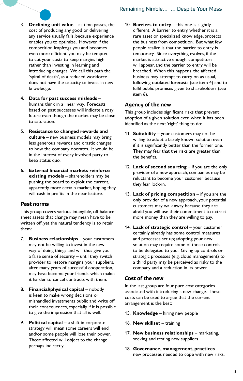- 3. **Declining unit value** as time passes, the cost of producing any good or delivering any service usually falls, because experience enables you to optimize. However, if the competition leapfrogs you and becomes even more efficient, you may be tempted to cut your costs to keep margins high rather than investing in learning and introducing changes. We call this path the 'spiral of death', as a reduced workforce does not have the capacity to invest in new knowledge.
- 4. **Data for past success misleads** humans think in a linear way. Forecasts based on past successes will indicate a rosy future even though the market may be close to saturation.
- 5. **Resistance to changed rewards and culture** – new business models may bring less generous rewards and drastic changes to how the company operates. It would be in the interest of every involved party to keep status quo.
- 6. **External financial markets reinforce existing models** – shareholders may be pushing the board to exploit the current, apparently more certain market, hoping they will cash in profits in the near feature.

## **Past norms**

This group covers various intangible, off-balancesheet assets that change may mean have to be written off, yet the natural tendency is to retain them:

- 7. **Business relationships** your customers may not be willing to invest in the new way of doing things and will thus give you a false sense of security – until they switch provider to restore margins; your suppliers, after many years of successful cooperation, may have become your friends, which makes it harder to cancel contracts with them.
- 8. **Financial/physical capital** nobody is keen to make wrong decisions or mishandled investments public and write off their consequences, especially if it is possible to give the impression that all is well.
- 9. **Political capita**l a shift in corporate strategy will mean some careers will end and/or some people will lose their power. Those affected will object to the change, perhaps indirectly.

10. **Barriers to entry** – this one is slightly different. A barrier to entry, whether it is a rare asset or specialized knowledge, protects the business from competition. But what few people realize is that the barrier to entry is temporary. Since everything evolves, if the market is attractive enough, competitors will appear, and the barrier to entry will be breached. When this happens, the affected business may attempt to carry on as usual, following outdated forecasts (see item 4) and to fulfil public promises given to shareholders (see item 6).

## **Agency of the new**

This group includes significant risks that prevent adoption of a given solution even when it has been identified as the next 'right' thing to do:

- 11. **Suitability**  your customers may not be willing to adopt a barely known solution even if it is significantly better than the former one. They may fear that the risks are greater than the benefits.
- 12. **Lack of second sourcing** if you are the only provider of a new approach, companies may be reluctant to become your customer because they fear lock-in.
- 13. **Lack of pricing competition** if you are the only provider of a new approach, your potential customers may walk away because they are afraid you will use their commitment to extract more money than they are willing to pay.
- 14. Lack of strategic control your customer certainly already has some control measures and processes set up; adopting your new solution may require some of those controls to be delegated to you. Giving up controls or strategic processes (e.g. cloud management) to a third party may be perceived as risky to the company and a reduction in its power.

## **Cost of the new**

In the last group are four pure cost categories associated with introducing a new change. These costs can be used to argue that the current arrangement is the best:

- 15. **Knowledge**  hiring new people
- 16. **New skillset** training
- 17. **New business relationships** marketing, seeking and testing new suppliers
- 18. **Governance, management, practices**  new processes needed to cope with new risks.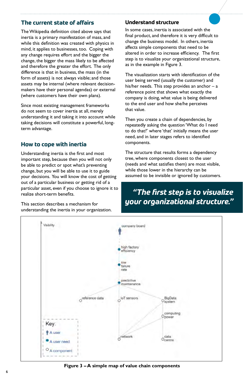## **The current state of affairs**

The Wikipedia definition cited above says that inertia is a primary manifestation of mass, and while this definition was created with physics in mind, it applies to businesses, too. Coping with any change requires effort and the bigger the change, the bigger the mass likely to be affected and therefore the greater the effort. The only difference is that in business, the mass (in the form of assets) is not always visible; and those assets may be internal (where relevant decisionmakers have their personal agendas) or external (where customers have their own plans).

Since most existing management frameworks do not seem to cover inertia at all, merely understanding it and taking it into account while taking decisions will constitute a powerful, longterm advantage.

## **How to cope with inertia**

Understanding inertia is the first and most important step, because then you will not only be able to predict or spot what's preventing change, but you will be able to use it to guide your decisions. You will know the cost of getting out of a particular business or getting rid of a particular asset, even if you choose to ignore it to realize short-term benefits.

This section describes a mechanism for understanding the inertia in your organization.

## **Understand structure**

In some cases, inertia is associated with the final product, and therefore it is very difficult to change the business model. In others, inertia affects simple components that need to be altered in order to increase efficiency. The first step is to visualize your organizational structure, as in the example in Figure 3.

The visualization starts with identification of the user being served (usually the customer) and his/her needs. This step provides an anchor  $-$  a reference point that shows what exactly the company is doing, what value is being delivered to the end user and how she/he perceives that value.

Then you create a chain of dependencies, by repeatedly asking the question 'What do I need to do that?' where 'that' initially means the user need, and in later stages refers to identified components.

The structure that results forms a dependency tree, where components closest to the user (needs and what satisfies them) are most visible, while those lower in the hierarchy can be assumed to be invisible or ignored by customers.

## *"The first step is to visualize your organizational structure."*



**Figure 3 – A simple map of value chain components**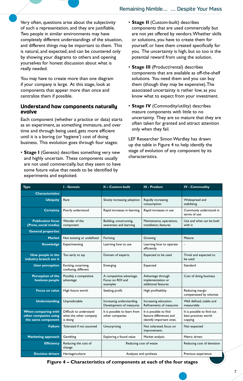Very often, questions arise about the subjectivity of such a representation, and they are justifiable. Two people in similar environments may have completely different understandings of the situation, and different things may be important to them. This is natural, and expected, and can be countered only by showing your diagrams to others and opening yourselves for honest discussion about what is really needed.

You may have to create more than one diagram if your company is large. At this stage, look at components that appear more than once and centralize them if possible.

## **Understand how components naturally evolve**

Each component (whether a practice or data) starts as an experiment, as something immature, and over time and through being used, gets more efficient until it is a boring (or 'hygiene') cost of doing business. This evolution goes through four stages:

• **Stage I** (Genesis) describes something very new and highly uncertain. These components usually are not used commercially, but they seem to have some future value that needs to be identified by experiments and exploited.

- **Stage II** (Custom-built) describes components that are used commercially but are not yet offered by vendors. Whether skills or solutions, you have to create them for yourself, or have them created specifically for you. The uncertainty is high, but so too is the potential reward from using the solution.
- **Stage III** (Product/rental) describes components that are available as off-the-shelf solutions. You need them and you can buy them (though they may be expensive). The associated uncertainty is rather low, as you know what to expect from your investment.
- **Stage IV** (Commodity/utility) describes mature components with little to no uncertainty. They are so mature that they are often taken for granted and attract attention only when they fail.

LEF Researcher Simon Wardley has drawn up the table in Figure 4 to help identify the stage of evolution of any component by its characteristics.

| <b>Type</b>                                                        | <b>I - Genesis</b>                                            | II - Custom-built                                        | III - Product                                                                 | <b>IV - Commodity</b>                                         |
|--------------------------------------------------------------------|---------------------------------------------------------------|----------------------------------------------------------|-------------------------------------------------------------------------------|---------------------------------------------------------------|
| <b>Characteristics</b>                                             |                                                               |                                                          |                                                                               |                                                               |
| <b>Ubiquity</b>                                                    | Rare                                                          | Slowly increasing adoption                               | Rapidly increasing<br>consumption                                             | Widespread and<br>stabilizing                                 |
| <b>Certainty</b>                                                   | Poorly understood                                             | Rapid increases in learning                              | Rapid increases in use                                                        | Commonly understood in<br>terms of use                        |
| <b>Publication focus</b><br>(Press, social media)                  | Wonder of the<br>component                                    | Building, constructing,<br>awareness and learning        | Maintenance, operations,<br>installation, features                            | Use and what can be built<br>with it                          |
| <b>General properties</b>                                          |                                                               |                                                          |                                                                               |                                                               |
| <b>Market</b>                                                      | Not existing or undefined                                     | Forming                                                  | Growing                                                                       | Mature                                                        |
| <b>Knowledge</b>                                                   | Experimenting                                                 | Learning how to use                                      | Learning how to operate<br>efficiently                                        | ä,                                                            |
| How people in the<br>industry branch see it                        | Too early to say                                              | Domain of experts                                        | Expected to be used                                                           | Trivial and expected to<br>be used                            |
| <b>User perception</b>                                             | Exciting, surprising,<br>confusing, different                 | Emerging                                                 | Expected                                                                      | Standard                                                      |
| <b>Perception of the</b><br>business people                        | Possibly a competitive<br>advantage                           | A competitive advantage.<br>Focus on ROI and<br>examples | Advantage through<br>implementation or<br>additional features                 | Cost of doing business                                        |
| <b>Focus on value</b>                                              | High future worth                                             | Seeking profit                                           | High profitability                                                            | Reducing margin<br>compensated by volumes                     |
| <b>Understanding</b>                                               | Unpredictable                                                 | Increasing understanding.<br>Development of measures     | Increasing education.<br>Refinements of measures                              | Well defined, stable and<br>measurable                        |
| When comparing with<br>other companies using<br>the same component | Difficult to understand<br>what the other company<br>is doing | It is possible to learn from<br>other companies          | It is possible to find<br>feature differences and<br>identify important ones. | It is possible to find out<br>best practices worth<br>copying |
| <b>Failure</b>                                                     | Tolerated if not assumed                                      | Unsurprising                                             | Not tolerated, focus on<br>improvement.                                       | Not expected                                                  |
| <b>Marketing approach</b>                                          | Gambling                                                      | Exploring a found value                                  | Market analysis                                                               | Metric driven                                                 |
| <b>Efficiency</b>                                                  | Reducing the cost of<br>change                                | Reducing cost of waste                                   |                                                                               | Reducing cost of deviation                                    |
| <b>Decision drivers</b>                                            | Heritage/culture                                              | Analyses and synthesis                                   |                                                                               | Previous experience                                           |

**Figure 4 – Characteristics of components at each of the four stages**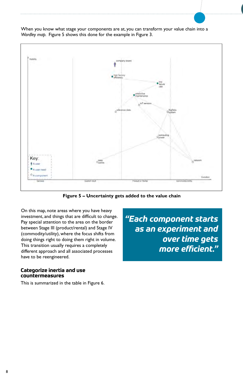When you know what stage your components are at, you can transform your value chain into a *Wardley map.* Figure 5 shows this done for the example in Figure 3.



**Figure 5 – Uncertainty gets added to the value chain**

On this map, note areas where you have heavy investment, and things that are difficult to change. Pay special attention to the area on the border between Stage III (product/rental) and Stage IV (commodity/utility), where the focus shifts from doing things right to doing them right in volume. This transition usually requires a completely different approach and all associated processes have to be reengineered.

## **Categorize inertia and use countermeasures**

This is summarized in the table in Figure 6.

*"Each component starts as an experiment and over time gets more efficient."*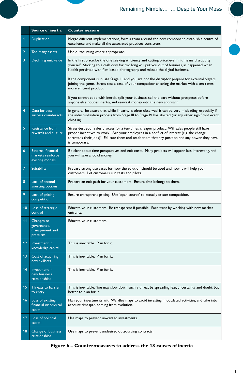|                 | <b>Source of inertia</b>                                          | <b>Countermeasure</b>                                                                                                                                                                                                                                                                                     |  |
|-----------------|-------------------------------------------------------------------|-----------------------------------------------------------------------------------------------------------------------------------------------------------------------------------------------------------------------------------------------------------------------------------------------------------|--|
| 1               | <b>Duplication</b>                                                | Merge different implementations, form a team around the new component, establish a centre of<br>excellence and make all the associated practices consistent.                                                                                                                                              |  |
| $\overline{2}$  | Too many assets                                                   | Use outsourcing where appropriate.                                                                                                                                                                                                                                                                        |  |
| 3               | Declining unit value                                              | In the first place, be the one seeking efficiency and cutting price, even if it means disrupting<br>yourself. Sticking to a cash cow for too long will put you out of business, as happened when<br>Kodak persisted with film-based photography and missed the digital business.                          |  |
|                 |                                                                   | If the component is in late Stage III, and you are not the disruptor, prepare for external players<br>joining the game. Stress-test a case of your competitor entering the market with a ten-times<br>more efficient product.                                                                             |  |
|                 |                                                                   | If you cannot cope with inertia, split your business, sell the part without prospects before<br>anyone else notices inertia, and reinvest money into the new approach.                                                                                                                                    |  |
| 4               | Data for past<br>success counteracts                              | In general, be aware that while linearity is often observed, it can be very misleading, especially if<br>the industrialization process from Stage III to Stage IV has started (or any other significant event<br>chips in).                                                                               |  |
| 5               | <b>Resistance from</b><br>rewards and culture                     | Stress-test your sales process for a ten-times cheaper product. Will sales people still have<br>proper incentives to work? Are your employees in a conflict of interest (e.g. the change<br>threatens their jobs)? Educate them and teach them that any position and any power they have<br>is temporary. |  |
| $6\overline{6}$ | <b>External financial</b><br>markets reinforce<br>existing models | Be clear about time perspectives and exit costs. Many projects will appear less interesting, and<br>you will save a lot of money.                                                                                                                                                                         |  |
| 7               | Suitability                                                       | Prepare strong use cases for how the solution should be used and how it will help your<br>customers. Let customers run tests and pilots.                                                                                                                                                                  |  |
| 8               | Lack of second<br>sourcing options                                | Prepare an exit path for your customers. Ensure data belongs to them.                                                                                                                                                                                                                                     |  |
| 9               | Lack of pricing<br>competition                                    | Ensure transparent pricing. Use 'open source' to actually create competition.                                                                                                                                                                                                                             |  |
| 10              | Loss of strategic<br>control                                      | Educate your customers. Be transparent if possible. Earn trust by working with new market<br>entrants.                                                                                                                                                                                                    |  |
| 11              | Changes to<br>governance,<br>management and<br>practices          | Educate your customers.                                                                                                                                                                                                                                                                                   |  |
| 12              | Investment in<br>knowledge capital                                | This is inevitable. Plan for it.                                                                                                                                                                                                                                                                          |  |
| 13              | Cost of acquiring<br>new skillsets                                | This is inevitable. Plan for it.                                                                                                                                                                                                                                                                          |  |
| 14              | Investment in<br>new business<br>relationships                    | This is inevitable. Plan for it.                                                                                                                                                                                                                                                                          |  |
| 15              | Threats to barrier<br>to entry                                    | This is inevitable. You may slow down such a threat by spreading fear, uncertainty and doubt, but<br>better to plan for it.                                                                                                                                                                               |  |
| 16              | Loss of existing<br>financial or physical<br>capital              | Plan your investments with Wardley maps to avoid investing in outdated activities, and take into<br>account timespan coming from evolution.                                                                                                                                                               |  |
| 17              | Loss of political<br>capital                                      | Use maps to prevent unwanted investments.                                                                                                                                                                                                                                                                 |  |
| 18              | Change of business<br>relationships                               | Use maps to prevent undesired outsourcing contracts.                                                                                                                                                                                                                                                      |  |

**Figure 6 – Countermeasures to address the 18 causes of inertia**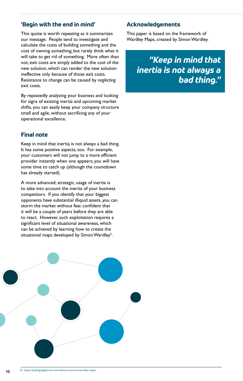## **'Begin with the end in mind'**

This quote is worth repeating as it summarizes our message. People tend to investigate and calculate the costs of building something and the cost of owning something, but rarely think what it will take to get rid of something. More often than not, exit costs are simply added to the cost of the new solution, which can render the new solution ineffective only because of those exit costs. Resistance to change can be caused by *neglecting*  exit costs.

By repeatedly analyzing your business and looking for signs of existing inertia and upcoming market shifts, you can easily keep your company structure small and agile, without sacrificing any of your operational excellence.

## **Final note**

Keep in mind that inertia is not always a bad thing. It has some positive aspects, too. For example, your customers will not jump to a more efficient provider instantly when one appears; you will have some time to catch up (although the countdown has already started).

A more advanced, strategic, usage of inertia is to take into account the inertia of your business competitors. If you identify that your biggest opponents have substantial illiquid assets, you can storm the market without fear, confident that it will be a couple of years before they are able to react. However, such exploitation requires a significant level of situational awareness, which can be achieved by learning how to create the situational maps developed by Simon Wardley<sup>5</sup>.



## **Acknowledgements**

This paper is based on the framework of Wardley Maps, created by Simon Wardley.

> *"Keep in mind that inertia is not always a bad thing."*